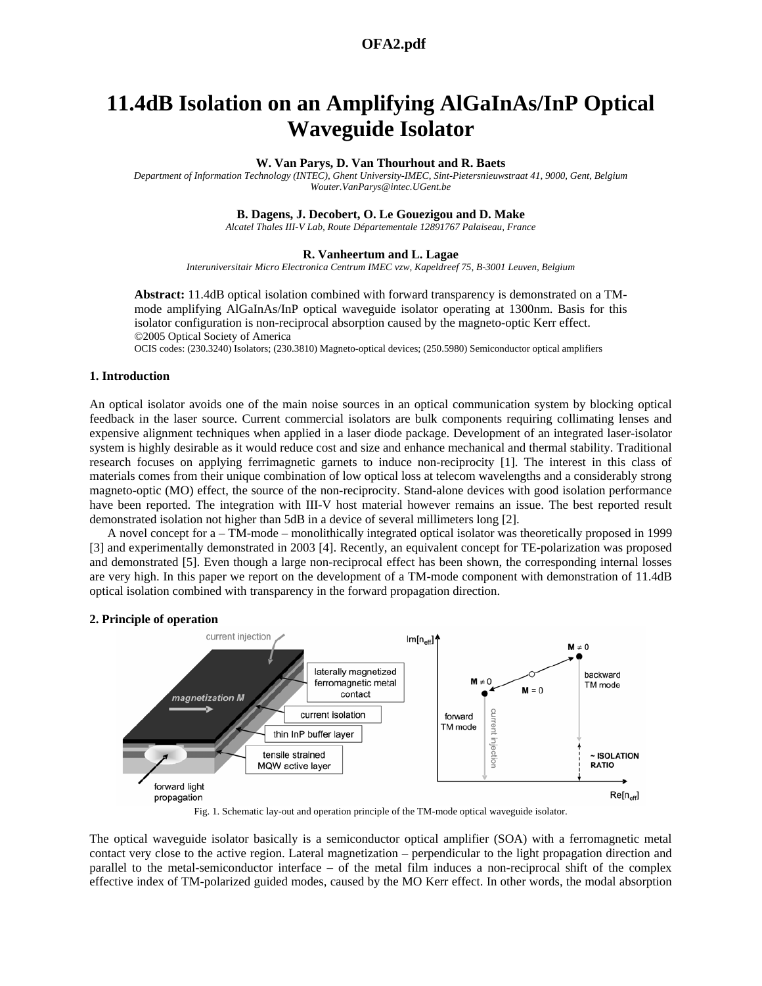## **OFA2.pdf 1576**

# **11.4dB Isolation on an Amplifying AlGaInAs/InP Optical Waveguide Isolator**

### **W. Van Parys, D. Van Thourhout and R. Baets**

*Department of Information Technology (INTEC), Ghent University-IMEC, Sint-Pietersnieuwstraat 41, 9000, Gent, Belgium Wouter.VanParys@intec.UGent.be* 

## **B. Dagens, J. Decobert, O. Le Gouezigou and D. Make**

*Alcatel Thales III-V Lab, Route Départementale 12891767 Palaiseau, France* 

#### **R. Vanheertum and L. Lagae**

*Interuniversitair Micro Electronica Centrum IMEC vzw, Kapeldreef 75, B-3001 Leuven, Belgium* 

**Abstract:** 11.4dB optical isolation combined with forward transparency is demonstrated on a TMmode amplifying AlGaInAs/InP optical waveguide isolator operating at 1300nm. Basis for this isolator configuration is non-reciprocal absorption caused by the magneto-optic Kerr effect. ©2005 Optical Society of America

OCIS codes: (230.3240) Isolators; (230.3810) Magneto-optical devices; (250.5980) Semiconductor optical amplifiers

## **1. Introduction**

An optical isolator avoids one of the main noise sources in an optical communication system by blocking optical feedback in the laser source. Current commercial isolators are bulk components requiring collimating lenses and expensive alignment techniques when applied in a laser diode package. Development of an integrated laser-isolator system is highly desirable as it would reduce cost and size and enhance mechanical and thermal stability. Traditional research focuses on applying ferrimagnetic garnets to induce non-reciprocity [1]. The interest in this class of materials comes from their unique combination of low optical loss at telecom wavelengths and a considerably strong magneto-optic (MO) effect, the source of the non-reciprocity. Stand-alone devices with good isolation performance have been reported. The integration with III-V host material however remains an issue. The best reported result demonstrated isolation not higher than 5dB in a device of several millimeters long [2].

A novel concept for a – TM-mode – monolithically integrated optical isolator was theoretically proposed in 1999 [3] and experimentally demonstrated in 2003 [4]. Recently, an equivalent concept for TE-polarization was proposed and demonstrated [5]. Even though a large non-reciprocal effect has been shown, the corresponding internal losses are very high. In this paper we report on the development of a TM-mode component with demonstration of 11.4dB optical isolation combined with transparency in the forward propagation direction.

## **2. Principle of operation**



Fig. 1. Schematic lay-out and operation principle of the TM-mode optical waveguide isolator.

The optical waveguide isolator basically is a semiconductor optical amplifier (SOA) with a ferromagnetic metal contact very close to the active region. Lateral magnetization – perpendicular to the light propagation direction and parallel to the metal-semiconductor interface – of the metal film induces a non-reciprocal shift of the complex effective index of TM-polarized guided modes, caused by the MO Kerr effect. In other words, the modal absorption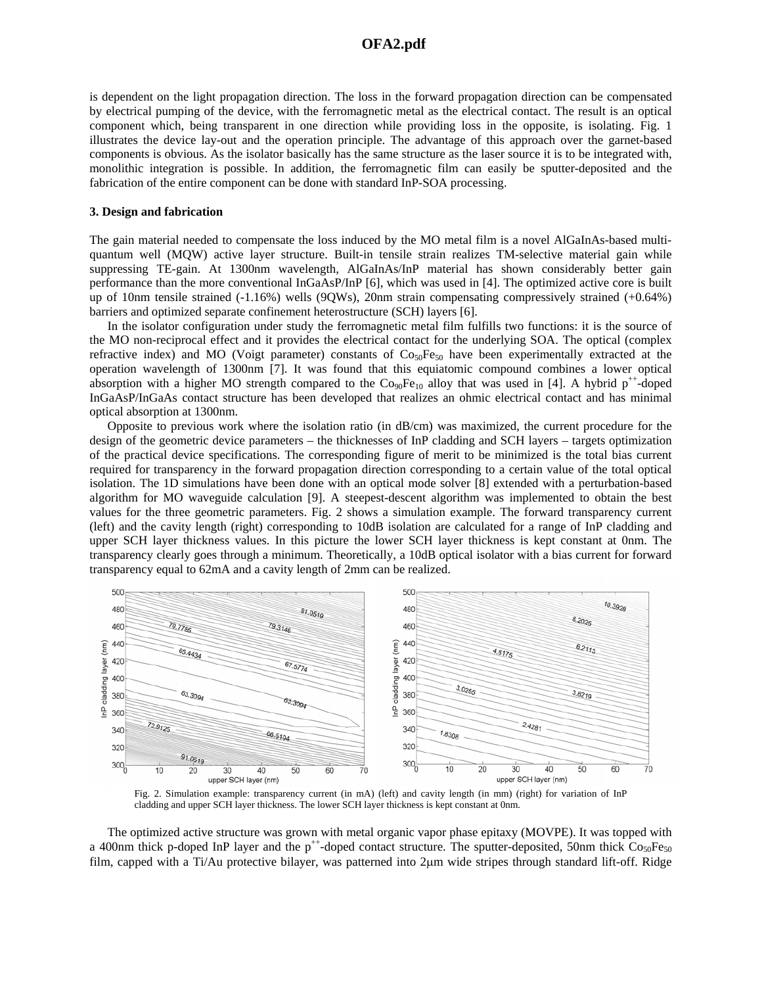## **OFA2.pdf 1576**

is dependent on the light propagation direction. The loss in the forward propagation direction can be compensated by electrical pumping of the device, with the ferromagnetic metal as the electrical contact. The result is an optical component which, being transparent in one direction while providing loss in the opposite, is isolating. Fig. 1 illustrates the device lay-out and the operation principle. The advantage of this approach over the garnet-based components is obvious. As the isolator basically has the same structure as the laser source it is to be integrated with, monolithic integration is possible. In addition, the ferromagnetic film can easily be sputter-deposited and the fabrication of the entire component can be done with standard InP-SOA processing.

## **3. Design and fabrication**

The gain material needed to compensate the loss induced by the MO metal film is a novel AlGaInAs-based multiquantum well (MQW) active layer structure. Built-in tensile strain realizes TM-selective material gain while suppressing TE-gain. At 1300nm wavelength, AlGaInAs/InP material has shown considerably better gain performance than the more conventional InGaAsP/InP [6], which was used in [4]. The optimized active core is built up of 10nm tensile strained (-1.16%) wells (9QWs), 20nm strain compensating compressively strained (+0.64%) barriers and optimized separate confinement heterostructure (SCH) layers [6].

In the isolator configuration under study the ferromagnetic metal film fulfills two functions: it is the source of the MO non-reciprocal effect and it provides the electrical contact for the underlying SOA. The optical (complex refractive index) and MO (Voigt parameter) constants of  $Co<sub>50</sub>Fe<sub>50</sub>$  have been experimentally extracted at the operation wavelength of 1300nm [7]. It was found that this equiatomic compound combines a lower optical absorption with a higher MO strength compared to the  $Co_{90}Fe_{10}$  alloy that was used in [4]. A hybrid p<sup>++</sup>-doped InGaAsP/InGaAs contact structure has been developed that realizes an ohmic electrical contact and has minimal optical absorption at 1300nm.

Opposite to previous work where the isolation ratio (in dB/cm) was maximized, the current procedure for the design of the geometric device parameters – the thicknesses of InP cladding and SCH layers – targets optimization of the practical device specifications. The corresponding figure of merit to be minimized is the total bias current required for transparency in the forward propagation direction corresponding to a certain value of the total optical isolation. The 1D simulations have been done with an optical mode solver [8] extended with a perturbation-based algorithm for MO waveguide calculation [9]. A steepest-descent algorithm was implemented to obtain the best values for the three geometric parameters. Fig. 2 shows a simulation example. The forward transparency current (left) and the cavity length (right) corresponding to 10dB isolation are calculated for a range of InP cladding and upper SCH layer thickness values. In this picture the lower SCH layer thickness is kept constant at 0nm. The transparency clearly goes through a minimum. Theoretically, a 10dB optical isolator with a bias current for forward transparency equal to 62mA and a cavity length of 2mm can be realized.



Fig. 2. Simulation example: transparency current (in mA) (left) and cavity length (in mm) (right) for variation of InP cladding and upper SCH layer thickness. The lower SCH layer thickness is kept constant at 0nm.

The optimized active structure was grown with metal organic vapor phase epitaxy (MOVPE). It was topped with a 400nm thick p-doped InP layer and the  $p^{++}$ -doped contact structure. The sputter-deposited, 50nm thick  $Co_{50}Fe_{50}$ film, capped with a Ti/Au protective bilayer, was patterned into 2µm wide stripes through standard lift-off. Ridge